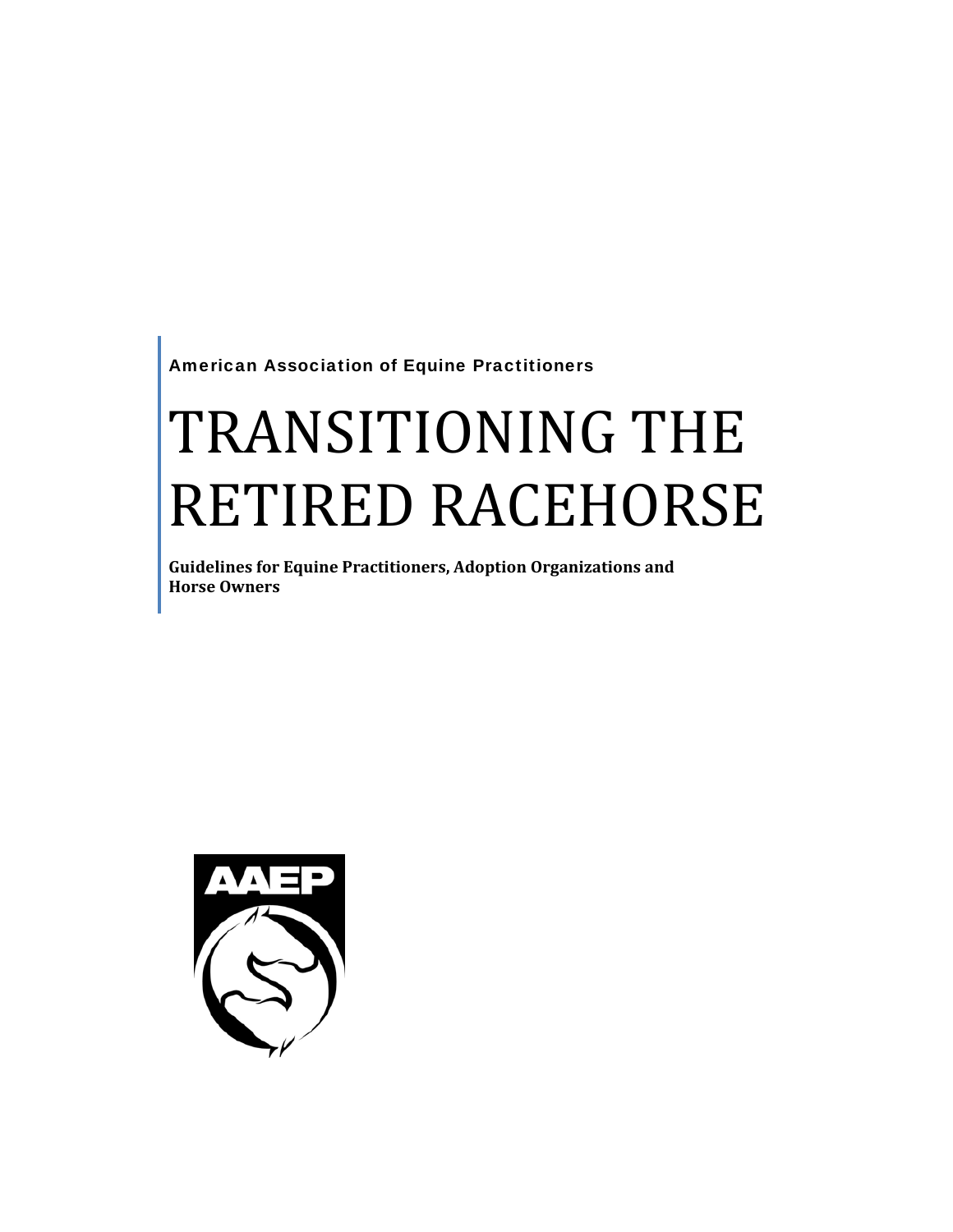American Association of Equine Practitioners

# TRANSITIONING THE RETIRED RACEHORSE

**Guidelines for Equine Practitioners, Adoption Organizations and Horse Owners**

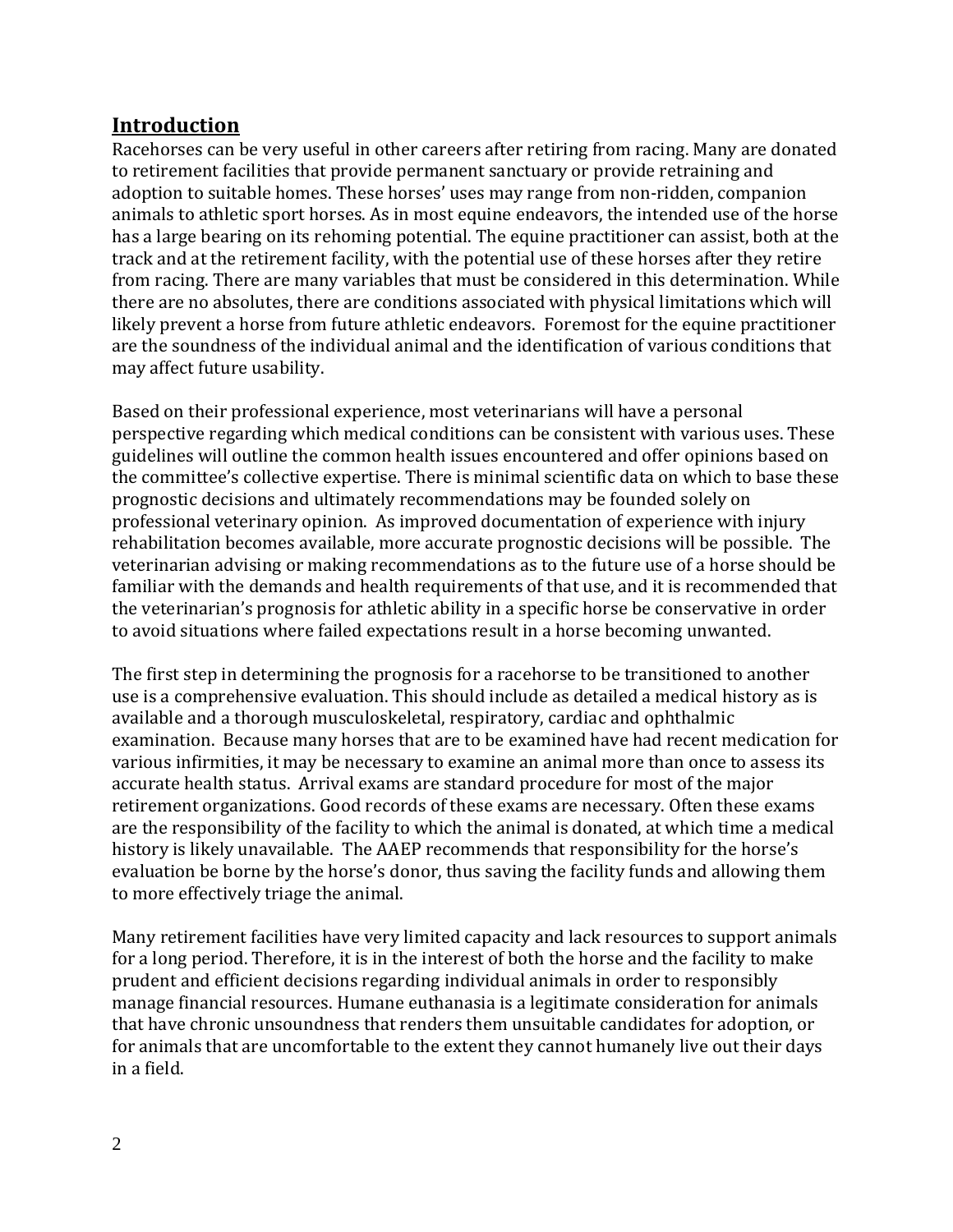# **Introduction**

Racehorses can be very useful in other careers after retiring from racing. Many are donated to retirement facilities that provide permanent sanctuary or provide retraining and adoption to suitable homes. These horses' uses may range from non‐ridden, companion animals to athletic sport horses. As in most equine endeavors, the intended use of the horse has a large bearing on its rehoming potential. The equine practitioner can assist, both at the track and at the retirement facility, with the potential use of these horses after they retire from racing. There are many variables that must be considered in this determination. While there are no absolutes, there are conditions associated with physical limitations which will likely prevent a horse from future athletic endeavors. Foremost for the equine practitioner are the soundness of the individual animal and the identification of various conditions that may affect future usability.

Based on their professional experience, most veterinarians will have a personal perspective regarding which medical conditions can be consistent with various uses. These guidelines will outline the common health issues encountered and offer opinions based on the committee's collective expertise. There is minimal scientific data on which to base these prognostic decisions and ultimately recommendations may be founded solely on professional veterinary opinion. As improved documentation of experience with injury rehabilitation becomes available, more accurate prognostic decisions will be possible. The veterinarian advising or making recommendations as to the future use of a horse should be familiar with the demands and health requirements of that use, and it is recommended that the veterinarian's prognosis for athletic ability in a specific horse be conservative in order to avoid situations where failed expectations result in a horse becoming unwanted.

The first step in determining the prognosis for a racehorse to be transitioned to another use is a comprehensive evaluation. This should include as detailed a medical history as is available and a thorough musculoskeletal, respiratory, cardiac and ophthalmic examination. Because many horses that are to be examined have had recent medication for various infirmities, it may be necessary to examine an animal more than once to assess its accurate health status. Arrival exams are standard procedure for most of the major retirement organizations. Good records of these exams are necessary. Often these exams are the responsibility of the facility to which the animal is donated, at which time a medical history is likely unavailable. The AAEP recommends that responsibility for the horse's evaluation be borne by the horse's donor, thus saving the facility funds and allowing them to more effectively triage the animal.

Many retirement facilities have very limited capacity and lack resources to support animals for a long period. Therefore, it is in the interest of both the horse and the facility to make prudent and efficient decisions regarding individual animals in order to responsibly manage financial resources. Humane euthanasia is a legitimate consideration for animals that have chronic unsoundness that renders them unsuitable candidates for adoption, or for animals that are uncomfortable to the extent they cannot humanely live out their days in a field.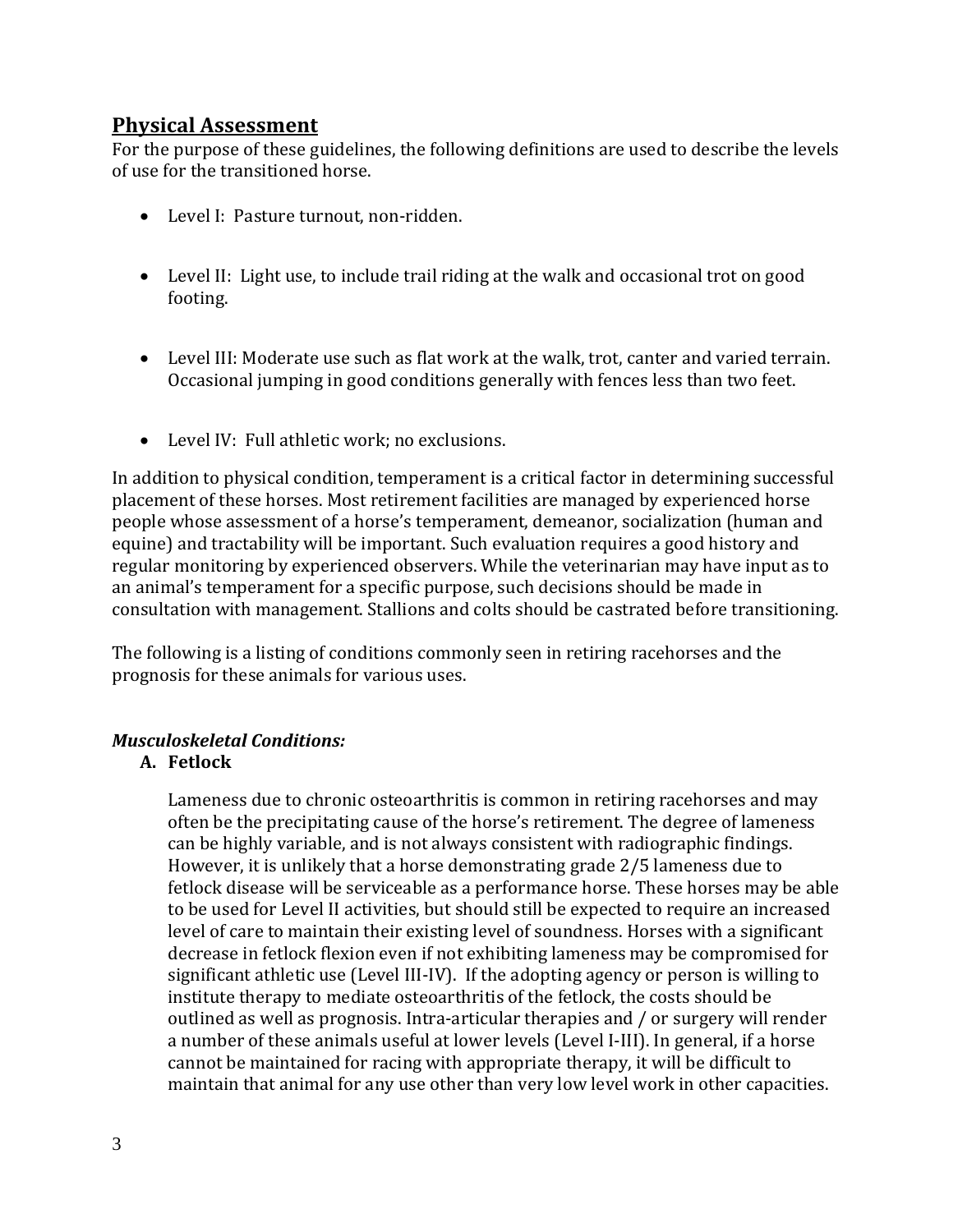# **Physical Assessment**

For the purpose of these guidelines, the following definitions are used to describe the levels of use for the transitioned horse.

- Level I: Pasture turnout, non‐ridden.
- Level II: Light use, to include trail riding at the walk and occasional trot on good footing.
- Level III: Moderate use such as flat work at the walk, trot, canter and varied terrain. Occasional jumping in good conditions generally with fences less than two feet.
- Level IV: Full athletic work: no exclusions.

In addition to physical condition, temperament is a critical factor in determining successful placement of these horses. Most retirement facilities are managed by experienced horse people whose assessment of a horse's temperament, demeanor, socialization (human and equine) and tractability will be important. Such evaluation requires a good history and regular monitoring by experienced observers. While the veterinarian may have input as to an animal's temperament for a specific purpose, such decisions should be made in consultation with management. Stallions and colts should be castrated before transitioning.

The following is a listing of conditions commonly seen in retiring racehorses and the prognosis for these animals for various uses.

#### *Musculoskeletal Conditions:*

#### **A. Fetlock**

Lameness due to chronic osteoarthritis is common in retiring racehorses and may often be the precipitating cause of the horse's retirement. The degree of lameness can be highly variable, and is not always consistent with radiographic findings. However, it is unlikely that a horse demonstrating grade 2/5 lameness due to fetlock disease will be serviceable as a performance horse. These horses may be able to be used for Level II activities, but should still be expected to require an increased level of care to maintain their existing level of soundness. Horses with a significant decrease in fetlock flexion even if not exhibiting lameness may be compromised for significant athletic use (Level III‐IV). If the adopting agency or person is willing to institute therapy to mediate osteoarthritis of the fetlock, the costs should be outlined as well as prognosis. Intra‐articular therapies and / or surgery will render a number of these animals useful at lower levels (Level I‐III). In general, if a horse cannot be maintained for racing with appropriate therapy, it will be difficult to maintain that animal for any use other than very low level work in other capacities.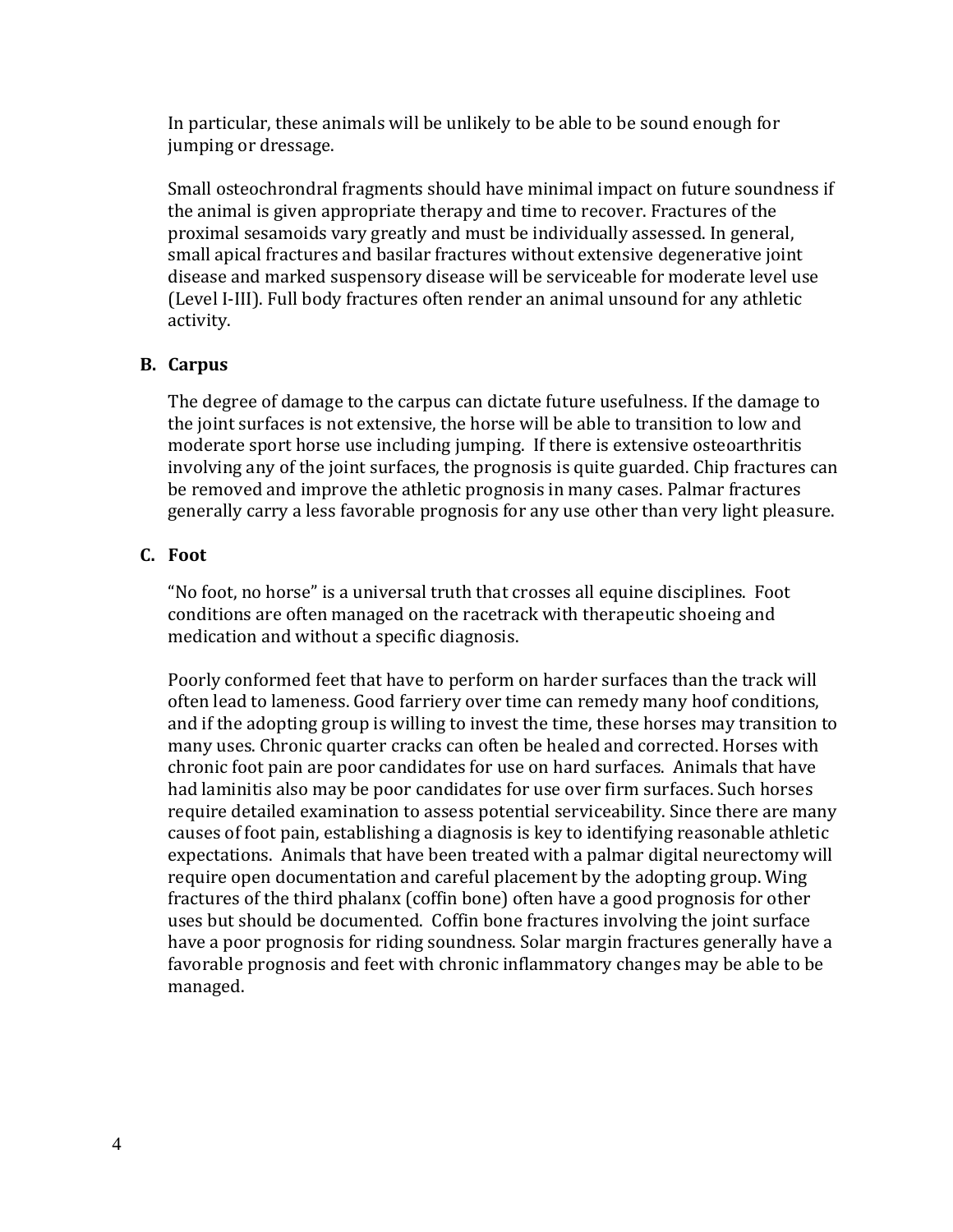In particular, these animals will be unlikely to be able to be sound enough for jumping or dressage.

Small osteochrondral fragments should have minimal impact on future soundness if the animal is given appropriate therapy and time to recover. Fractures of the proximal sesamoids vary greatly and must be individually assessed. In general, small apical fractures and basilar fractures without extensive degenerative joint disease and marked suspensory disease will be serviceable for moderate level use (Level I‐III). Full body fractures often render an animal unsound for any athletic activity.

#### **B. Carpus**

The degree of damage to the carpus can dictate future usefulness. If the damage to the joint surfaces is not extensive, the horse will be able to transition to low and moderate sport horse use including jumping. If there is extensive osteoarthritis involving any of the joint surfaces, the prognosis is quite guarded. Chip fractures can be removed and improve the athletic prognosis in many cases. Palmar fractures generally carry a less favorable prognosis for any use other than very light pleasure.

### **C. Foot**

"No foot, no horse" is a universal truth that crosses all equine disciplines. Foot conditions are often managed on the racetrack with therapeutic shoeing and medication and without a specific diagnosis.

Poorly conformed feet that have to perform on harder surfaces than the track will often lead to lameness. Good farriery over time can remedy many hoof conditions, and if the adopting group is willing to invest the time, these horses may transition to many uses. Chronic quarter cracks can often be healed and corrected. Horses with chronic foot pain are poor candidates for use on hard surfaces. Animals that have had laminitis also may be poor candidates for use over firm surfaces. Such horses require detailed examination to assess potential serviceability. Since there are many causes of foot pain, establishing a diagnosis is key to identifying reasonable athletic expectations. Animals that have been treated with a palmar digital neurectomy will require open documentation and careful placement by the adopting group. Wing fractures of the third phalanx (coffin bone) often have a good prognosis for other uses but should be documented. Coffin bone fractures involving the joint surface have a poor prognosis for riding soundness. Solar margin fractures generally have a favorable prognosis and feet with chronic inflammatory changes may be able to be managed.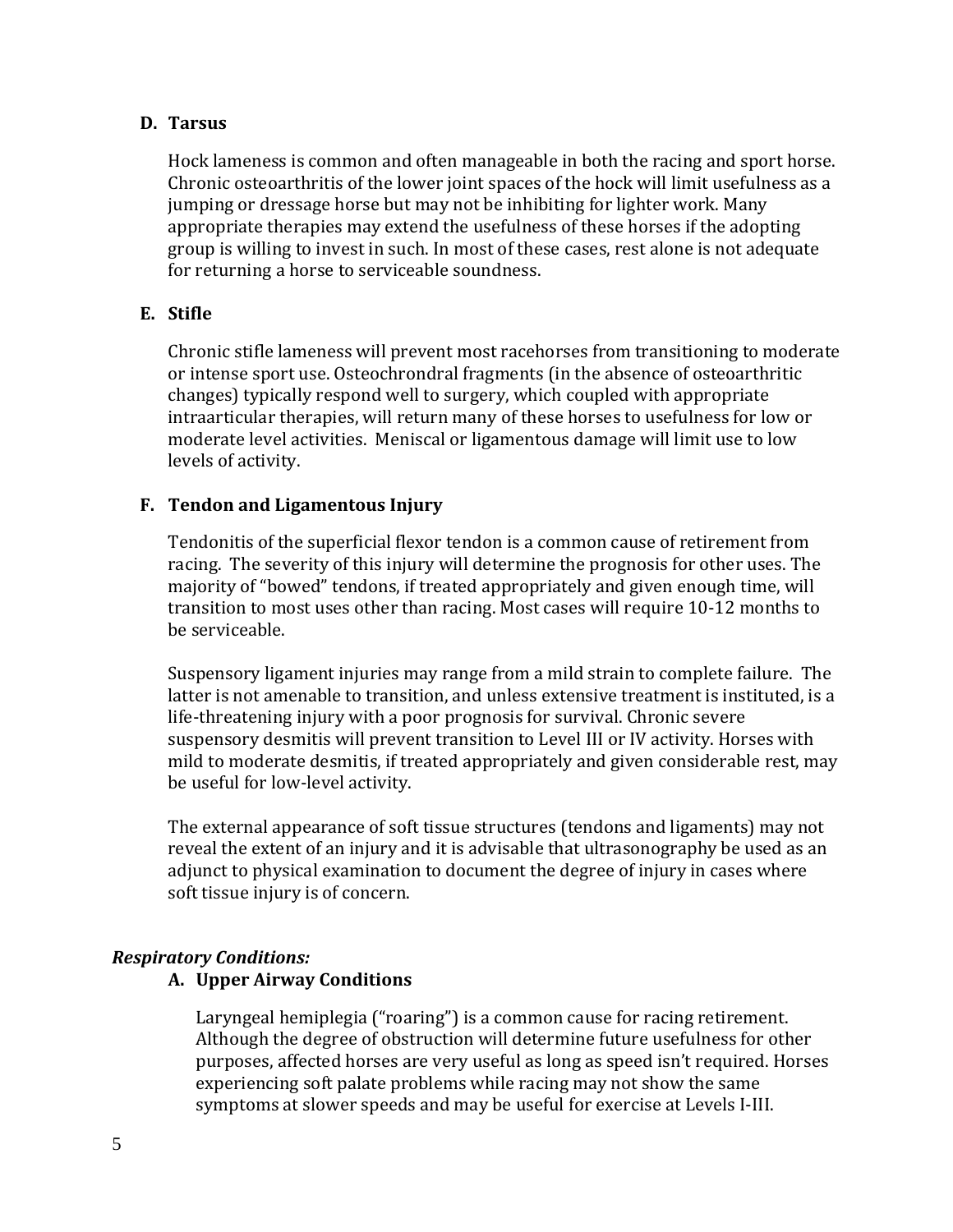#### **D. Tarsus**

Hock lameness is common and often manageable in both the racing and sport horse. Chronic osteoarthritis of the lower joint spaces of the hock will limit usefulness as a jumping or dressage horse but may not be inhibiting for lighter work. Many appropriate therapies may extend the usefulness of these horses if the adopting group is willing to invest in such. In most of these cases, rest alone is not adequate for returning a horse to serviceable soundness.

### **E. Stifle**

Chronic stifle lameness will prevent most racehorses from transitioning to moderate or intense sport use. Osteochrondral fragments (in the absence of osteoarthritic changes) typically respond well to surgery, which coupled with appropriate intraarticular therapies, will return many of these horses to usefulness for low or moderate level activities. Meniscal or ligamentous damage will limit use to low levels of activity.

### **F. Tendon and Ligamentous Injury**

Tendonitis of the superficial flexor tendon is a common cause of retirement from racing. The severity of this injury will determine the prognosis for other uses. The majority of "bowed" tendons, if treated appropriately and given enough time, will transition to most uses other than racing. Most cases will require 10‐12 months to be serviceable.

Suspensory ligament injuries may range from a mild strain to complete failure. The latter is not amenable to transition, and unless extensive treatment is instituted, is a life-threatening injury with a poor prognosis for survival. Chronic severe suspensory desmitis will prevent transition to Level III or IV activity. Horses with mild to moderate desmitis, if treated appropriately and given considerable rest, may be useful for low‐level activity.

The external appearance of soft tissue structures (tendons and ligaments) may not reveal the extent of an injury and it is advisable that ultrasonography be used as an adjunct to physical examination to document the degree of injury in cases where soft tissue injury is of concern.

#### *Respiratory Conditions:*

# **A. Upper Airway Conditions**

Laryngeal hemiplegia ("roaring") is a common cause for racing retirement. Although the degree of obstruction will determine future usefulness for other purposes, affected horses are very useful as long as speed isn't required. Horses experiencing soft palate problems while racing may not show the same symptoms at slower speeds and may be useful for exercise at Levels I‐III.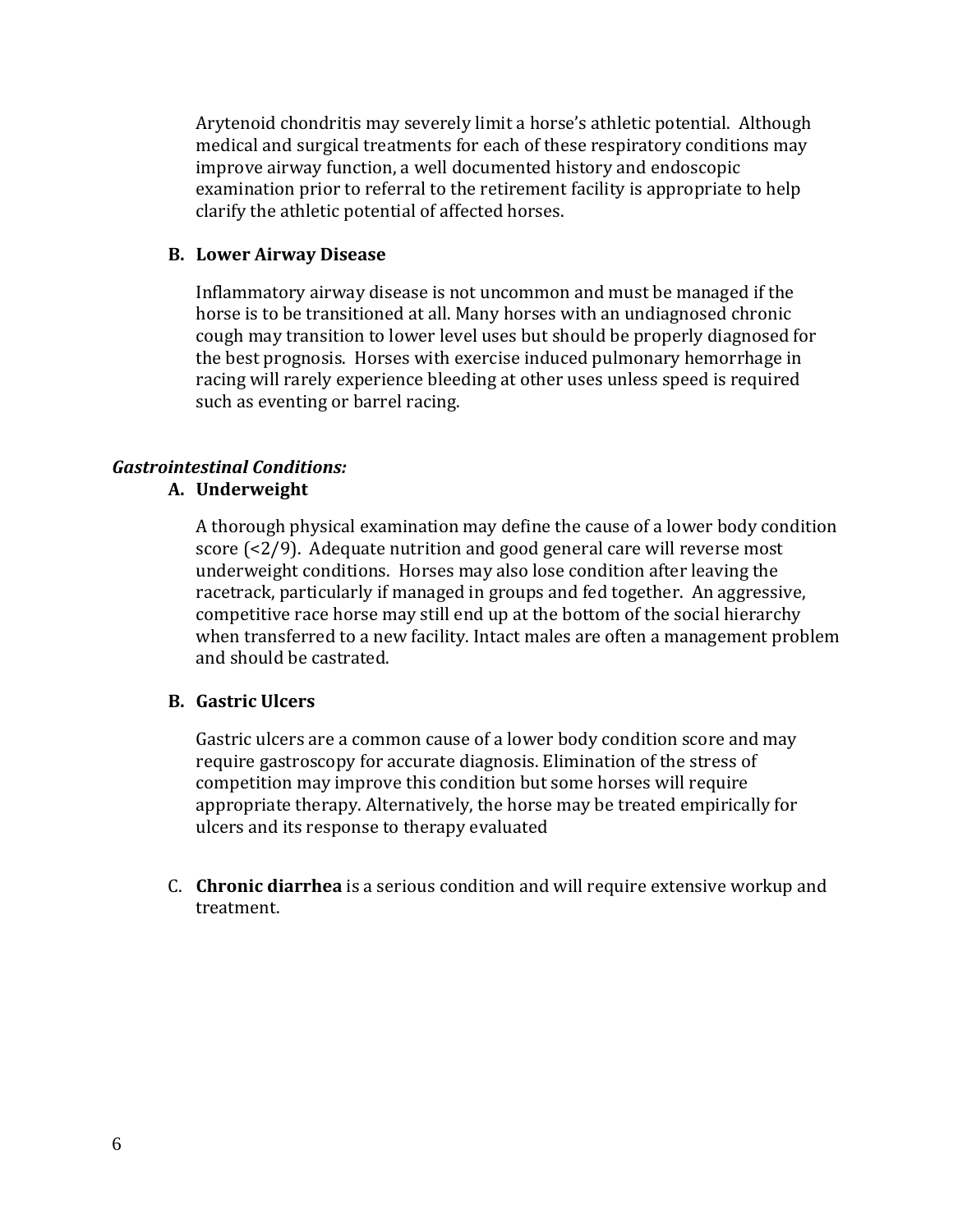Arytenoid chondritis may severely limit a horse's athletic potential. Although medical and surgical treatments for each of these respiratory conditions may improve airway function, a well documented history and endoscopic examination prior to referral to the retirement facility is appropriate to help larify the athletic potential of affected horses. c

#### **B. Lower Airway Disease**

Inflammatory airway disease is not uncommon and must be managed if the horse is to be transitioned at all. Many horses with an undiagnosed chronic cough may transition to lower level uses but should be properly diagnosed for the best prognosis. Horses with exercise induced pulmonary hemorrhage in racing will rarely experience bleeding at other uses unless speed is required such as eventing or barrel racing.

# *Gastrointestinal Conditions:*

# **A. Underweight**

A thorough physical examination may define the cause of a lower body condition score (<2/9). Adequate nutrition and good general care will reverse most underweight conditions. Horses may also lose condition after leaving the racetrack, particularly if managed in groups and fed together. An aggressive, competitive race horse may still end up at the bottom of the social hierarchy when transferred to a new facility. Intact males are often a management problem and should be castrated.

# **B. Gastric Ulcers**

Gastric ulcers are a common cause of a lower body condition score and may require gastroscopy for accurate diagnosis. Elimination of the stress of competition may improve this condition but some horses will require appropriate therapy. Alternatively, the horse may be treated empirically for ulcers and its response to therapy evaluated

C. **Chronic diarrhea** is a serious condition and will require extensive workup and treatment.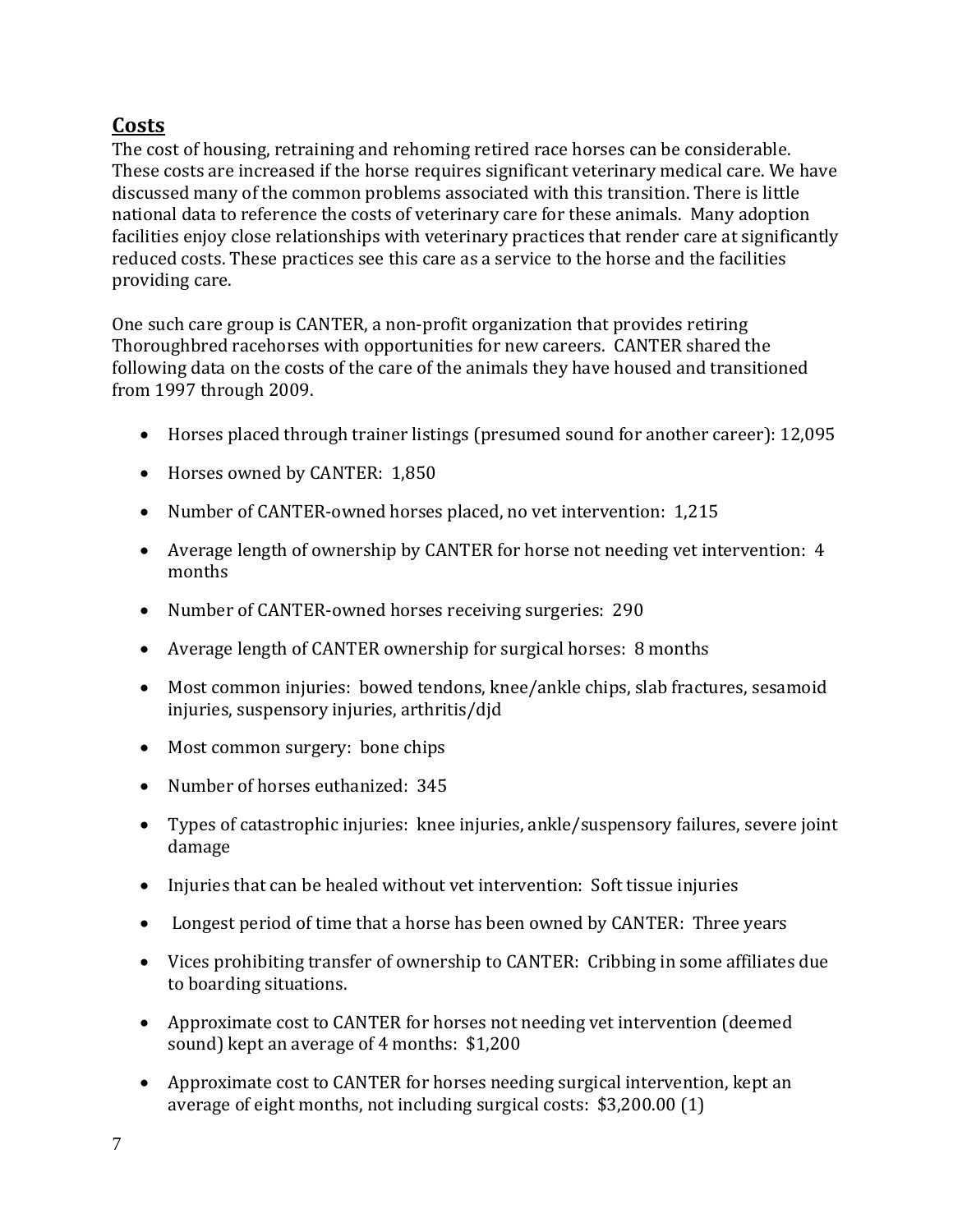# **Costs**

The cost of housing, retraining and rehoming retired race horses can be considerable. These costs are increased if the horse requires significant veterinary medical care. We have discussed many of the common problems associated with this transition. There is little national data to reference the costs of veterinary care for these animals. Many adoption facilities enjoy close relationships with veterinary practices that render care at significantly reduced costs. These practices see this care as a service to the horse and the facilities providing care.

One such care group is CANTER, a non‐profit organization that provides retiring Thoroughbred racehorses with opportunities for new careers. CANTER shared the following data on the costs of the care of the animals they have housed and transitioned from 1997 through 2009.

- Horses placed through trainer listings (presumed sound for another career): 12,095
- Horses owned by CANTER: 1,850
- Number of CANTER-owned horses placed, no vet intervention: 1,215
- Average length of ownership by CANTER for horse not needing vet intervention: 4 months
- Number of CANTER-owned horses receiving surgeries: 290
- Average length of CANTER ownership for surgical horses: 8 months
- Most common injuries: bowed tendons, knee/ankle chips, slab fractures, sesamoid injuries, suspensory injuries, arthritis/djd
- Most common surgery: bone chips
- Number of horses euthanized: 345
- Types of catastrophic injuries: knee injuries, ankle/suspensory failures, severe joint damage
- Injuries that can be healed without vet intervention: Soft tissue injuries
- Longest period of time that a horse has been owned by CANTER: Three years
- Vices prohibiting transfer of ownership to CANTER: Cribbing in some affiliates due to boarding situations.
- Approximate cost to CANTER for horses not needing vet intervention (deemed sound) kept an average of 4 months: \$1,200
- Approximate cost to CANTER for horses needing surgical intervention, kept an average of eight months, not including surgical costs: \$3,200.00 (1)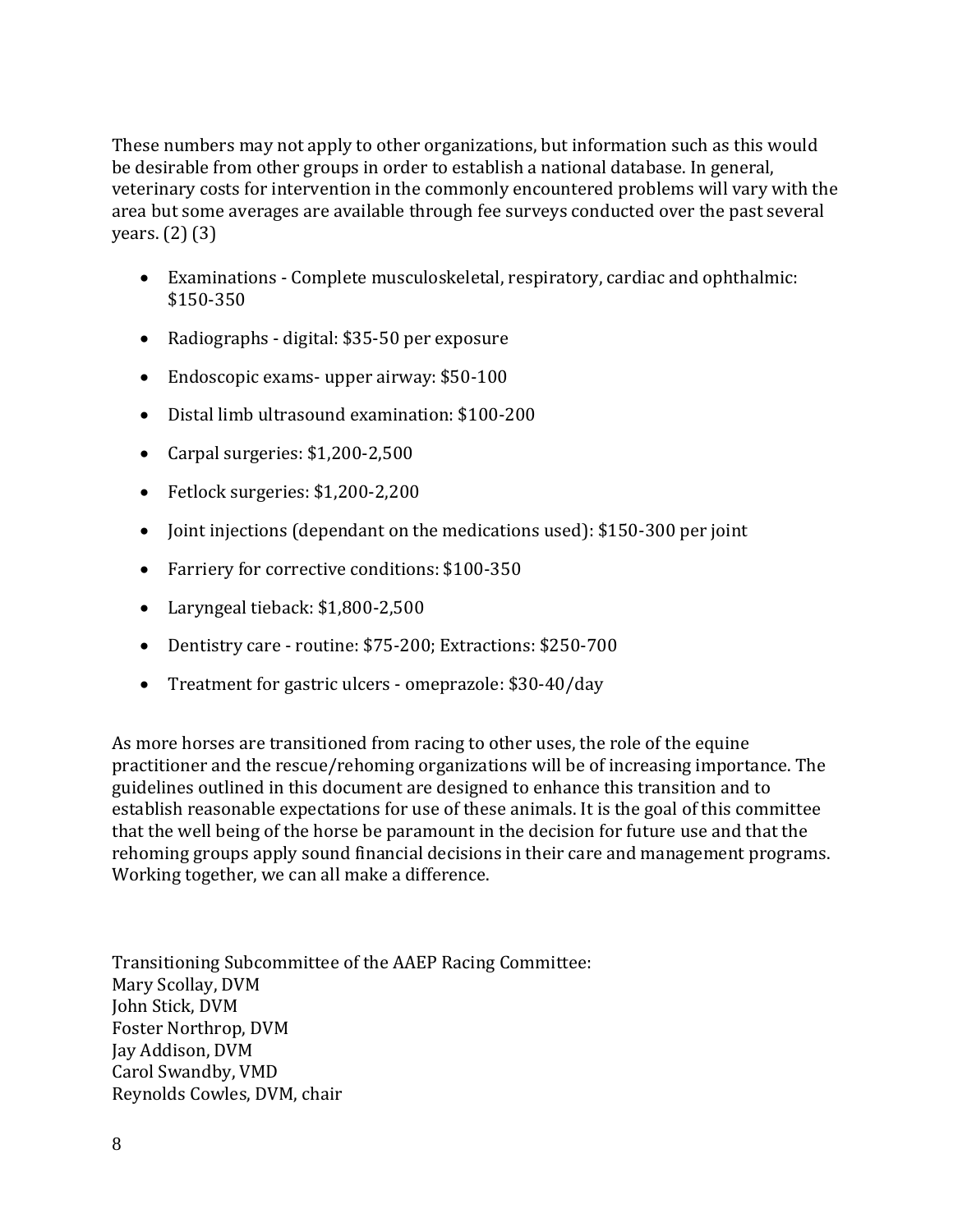These numbers may not apply to other organizations, but information such as this would be desirable from other groups in order to establish a national database. In general, veterinary costs for intervention in the commonly encountered problems will vary with the area but some averages are available through fee surveys conducted over the past several years. (2) (3)

- Examinations Complete musculoskeletal, respiratory, cardiac and ophthalmic: \$150‐350
- Radiographs digital: \$35-50 per exposure
- Endoscopic exams-upper airway: \$50-100
- Distal limb ultrasound examination: \$100‐200
- Carpal surgeries: \$1,200‐2,500
- Fetlock surgeries: \$1,200‐2,200
- Joint injections (dependant on the medications used): \$150-300 per joint
- Farriery for corrective conditions: \$100-350
- Laryngeal tieback: \$1,800‐2,500
- Dentistry care routine: \$75-200; Extractions: \$250-700
- Treatment for gastric ulcers omeprazole: \$30-40/day

As more horses are transitioned from racing to other uses, the role of the equine practitioner and the rescue/rehoming organizations will be of increasing importance. The guidelines outlined in this document are designed to enhance this transition and to establish reasonable expectations for use of these animals. It is the goal of this committee that the well being of the horse be paramount in the decision for future use and that the rehoming groups apply sound financial decisions in their care and management programs. Working together, we can all make a difference.

Jay Addison, DVM Carol Swandby, VMD Reynolds Cowles, DVM, chair Transitioning Subcommittee of the AAEP Racing Committee: Mary Scollay, DVM John Stick, DVM Foster Northrop, DVM